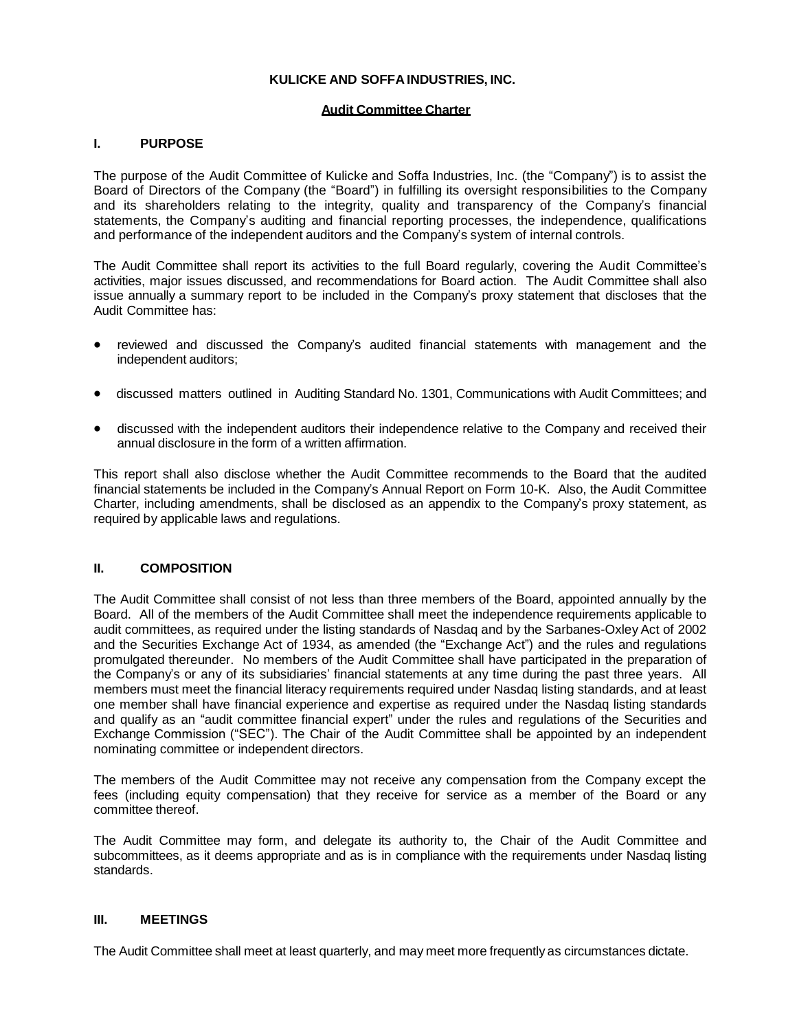# **KULICKE AND SOFFA INDUSTRIES, INC.**

## **Audit Committee Charter**

# **I. PURPOSE**

The purpose of the Audit Committee of Kulicke and Soffa Industries, Inc. (the "Company") is to assist the Board of Directors of the Company (the "Board") in fulfilling its oversight responsibilities to the Company and its shareholders relating to the integrity, quality and transparency of the Company's financial statements, the Company's auditing and financial reporting processes, the independence, qualifications and performance of the independent auditors and the Company's system of internal controls.

The Audit Committee shall report its activities to the full Board regularly, covering the Audit Committee's activities, major issues discussed, and recommendations for Board action. The Audit Committee shall also issue annually a summary report to be included in the Company's proxy statement that discloses that the Audit Committee has:

- reviewed and discussed the Company's audited financial statements with management and the independent auditors;
- discussed matters outlined in Auditing Standard No. 1301, Communications with Audit Committees; and
- discussed with the independent auditors their independence relative to the Company and received their annual disclosure in the form of a written affirmation.

This report shall also disclose whether the Audit Committee recommends to the Board that the audited financial statements be included in the Company's Annual Report on Form 10-K. Also, the Audit Committee Charter, including amendments, shall be disclosed as an appendix to the Company's proxy statement, as required by applicable laws and regulations.

## **II. COMPOSITION**

The Audit Committee shall consist of not less than three members of the Board, appointed annually by the Board. All of the members of the Audit Committee shall meet the independence requirements applicable to audit committees, as required under the listing standards of Nasdaq and by the Sarbanes-Oxley Act of 2002 and the Securities Exchange Act of 1934, as amended (the "Exchange Act") and the rules and regulations promulgated thereunder. No members of the Audit Committee shall have participated in the preparation of the Company's or any of its subsidiaries' financial statements at any time during the past three years. All members must meet the financial literacy requirements required under Nasdaq listing standards, and at least one member shall have financial experience and expertise as required under the Nasdaq listing standards and qualify as an "audit committee financial expert" under the rules and regulations of the Securities and Exchange Commission ("SEC"). The Chair of the Audit Committee shall be appointed by an independent nominating committee or independent directors.

The members of the Audit Committee may not receive any compensation from the Company except the fees (including equity compensation) that they receive for service as a member of the Board or any committee thereof.

The Audit Committee may form, and delegate its authority to, the Chair of the Audit Committee and subcommittees, as it deems appropriate and as is in compliance with the requirements under Nasdaq listing standards.

## **III. MEETINGS**

The Audit Committee shall meet at least quarterly, and may meet more frequently as circumstances dictate.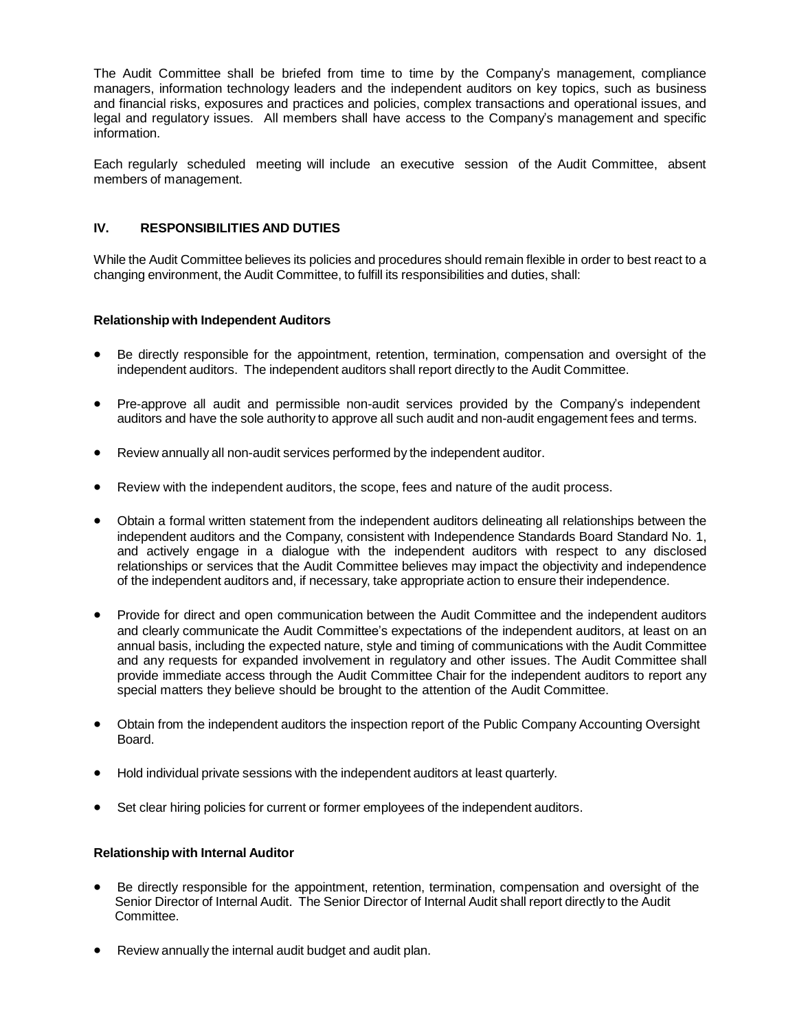The Audit Committee shall be briefed from time to time by the Company's management, compliance managers, information technology leaders and the independent auditors on key topics, such as business and financial risks, exposures and practices and policies, complex transactions and operational issues, and legal and regulatory issues. All members shall have access to the Company's management and specific information.

Each regularly scheduled meeting will include an executive session of the Audit Committee, absent members of management.

# **IV. RESPONSIBILITIES AND DUTIES**

While the Audit Committee believes its policies and procedures should remain flexible in order to best react to a changing environment, the Audit Committee, to fulfill its responsibilities and duties, shall:

## **Relationship with Independent Auditors**

- Be directly responsible for the appointment, retention, termination, compensation and oversight of the independent auditors. The independent auditors shall report directly to the Audit Committee.
- Pre-approve all audit and permissible non-audit services provided by the Company's independent auditors and have the sole authority to approve all such audit and non-audit engagement fees and terms.
- Review annually all non-audit services performed by the independent auditor.
- Review with the independent auditors, the scope, fees and nature of the audit process.
- Obtain a formal written statement from the independent auditors delineating all relationships between the independent auditors and the Company, consistent with Independence Standards Board Standard No. 1, and actively engage in a dialogue with the independent auditors with respect to any disclosed relationships or services that the Audit Committee believes may impact the objectivity and independence of the independent auditors and, if necessary, take appropriate action to ensure their independence.
- Provide for direct and open communication between the Audit Committee and the independent auditors and clearly communicate the Audit Committee's expectations of the independent auditors, at least on an annual basis, including the expected nature, style and timing of communications with the Audit Committee and any requests for expanded involvement in regulatory and other issues. The Audit Committee shall provide immediate access through the Audit Committee Chair for the independent auditors to report any special matters they believe should be brought to the attention of the Audit Committee.
- Obtain from the independent auditors the inspection report of the Public Company Accounting Oversight Board.
- Hold individual private sessions with the independent auditors at least quarterly.
- Set clear hiring policies for current or former employees of the independent auditors.

#### **Relationship with Internal Auditor**

- Be directly responsible for the appointment, retention, termination, compensation and oversight of the Senior Director of Internal Audit. The Senior Director of Internal Audit shall report directly to the Audit Committee.
- Review annually the internal audit budget and audit plan.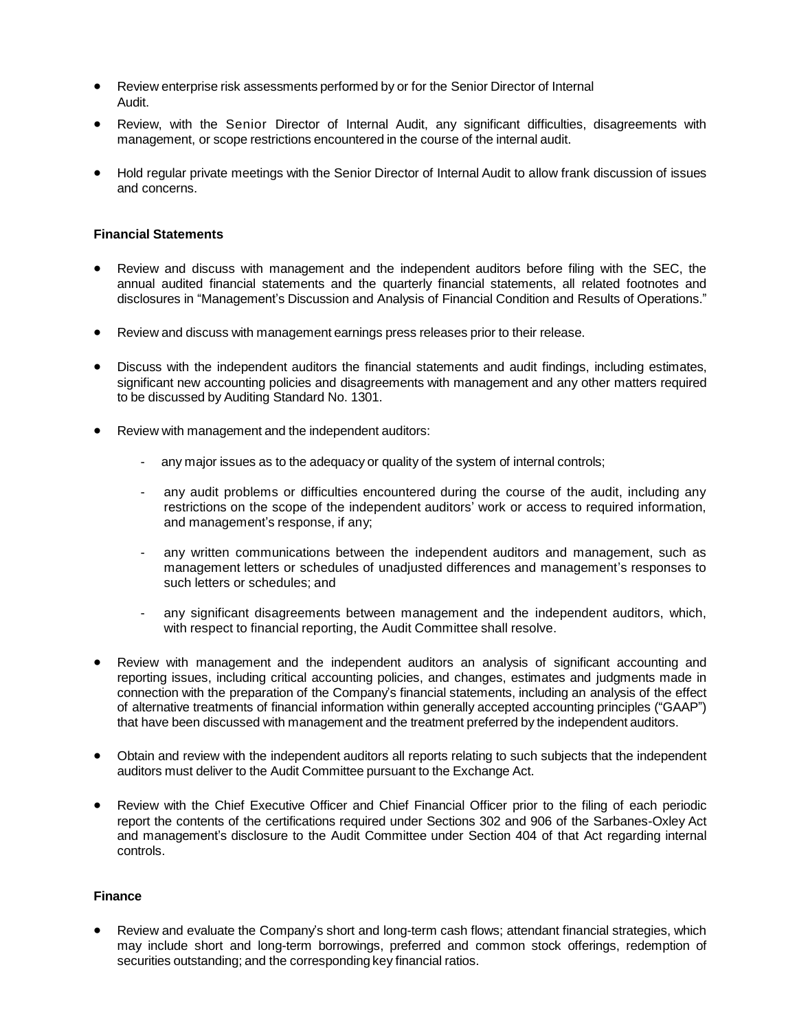- Review enterprise risk assessments performed by or for the Senior Director of Internal Audit.
- Review, with the Senior Director of Internal Audit, any significant difficulties, disagreements with management, or scope restrictions encountered in the course of the internal audit.
- Hold regular private meetings with the Senior Director of Internal Audit to allow frank discussion of issues and concerns.

### **Financial Statements**

- Review and discuss with management and the independent auditors before filing with the SEC, the annual audited financial statements and the quarterly financial statements, all related footnotes and disclosures in "Management's Discussion and Analysis of Financial Condition and Results of Operations."
- Review and discuss with management earnings press releases prior to their release.
- Discuss with the independent auditors the financial statements and audit findings, including estimates, significant new accounting policies and disagreements with management and any other matters required to be discussed by Auditing Standard No. 1301.
- Review with management and the independent auditors:
	- any major issues as to the adequacy or quality of the system of internal controls;
	- any audit problems or difficulties encountered during the course of the audit, including any restrictions on the scope of the independent auditors' work or access to required information, and management's response, if any;
	- any written communications between the independent auditors and management, such as management letters or schedules of unadjusted differences and management's responses to such letters or schedules; and
	- any significant disagreements between management and the independent auditors, which, with respect to financial reporting, the Audit Committee shall resolve.
- Review with management and the independent auditors an analysis of significant accounting and reporting issues, including critical accounting policies, and changes, estimates and judgments made in connection with the preparation of the Company's financial statements, including an analysis of the effect of alternative treatments of financial information within generally accepted accounting principles ("GAAP") that have been discussed with management and the treatment preferred by the independent auditors.
- Obtain and review with the independent auditors all reports relating to such subjects that the independent auditors must deliver to the Audit Committee pursuant to the Exchange Act.
- Review with the Chief Executive Officer and Chief Financial Officer prior to the filing of each periodic report the contents of the certifications required under Sections 302 and 906 of the Sarbanes-Oxley Act and management's disclosure to the Audit Committee under Section 404 of that Act regarding internal controls.

#### **Finance**

• Review and evaluate the Company's short and long-term cash flows; attendant financial strategies, which may include short and long-term borrowings, preferred and common stock offerings, redemption of securities outstanding; and the corresponding key financial ratios.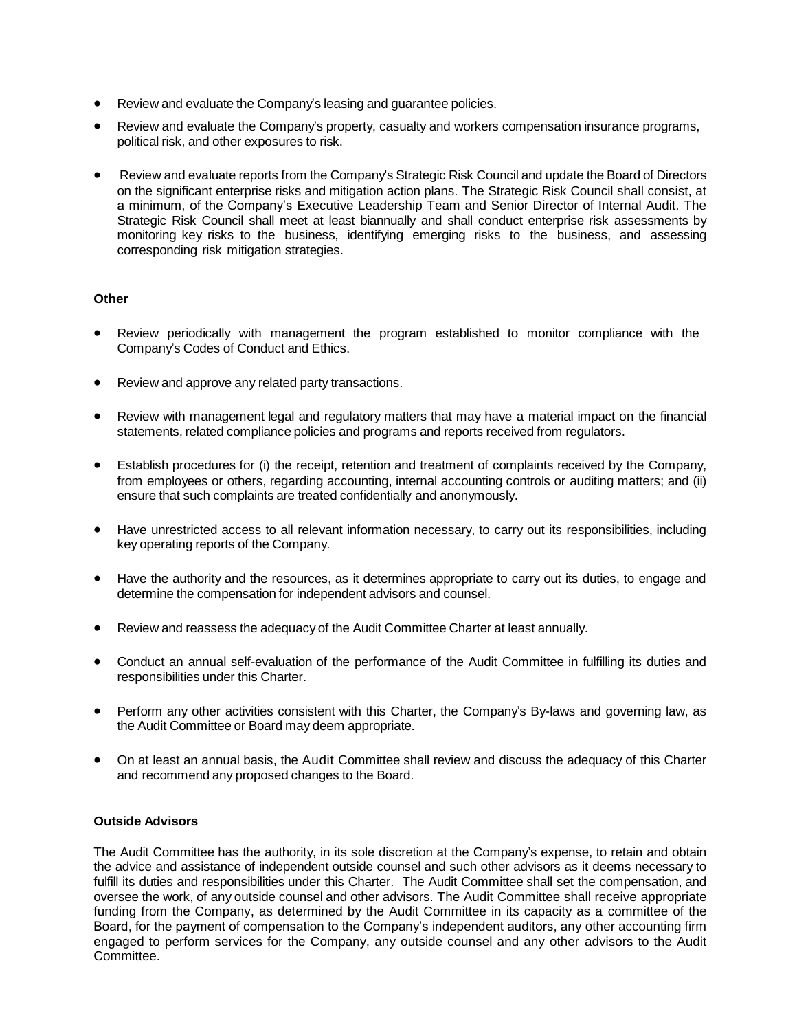- Review and evaluate the Company's leasing and guarantee policies.
- Review and evaluate the Company's property, casualty and workers compensation insurance programs, political risk, and other exposures to risk.
- Review and evaluate reports from the Company's Strategic Risk Council and update the Board of Directors on the significant enterprise risks and mitigation action plans. The Strategic Risk Council shall consist, at a minimum, of the Company's Executive Leadership Team and Senior Director of Internal Audit. The Strategic Risk Council shall meet at least biannually and shall conduct enterprise risk assessments by monitoring key risks to the business, identifying emerging risks to the business, and assessing corresponding risk mitigation strategies.

# **Other**

- Review periodically with management the program established to monitor compliance with the Company's Codes of Conduct and Ethics.
- Review and approve any related party transactions.
- Review with management legal and regulatory matters that may have a material impact on the financial statements, related compliance policies and programs and reports received from regulators.
- Establish procedures for (i) the receipt, retention and treatment of complaints received by the Company, from employees or others, regarding accounting, internal accounting controls or auditing matters; and (ii) ensure that such complaints are treated confidentially and anonymously.
- Have unrestricted access to all relevant information necessary, to carry out its responsibilities, including key operating reports of the Company.
- Have the authority and the resources, as it determines appropriate to carry out its duties, to engage and determine the compensation for independent advisors and counsel.
- Review and reassess the adequacy of the Audit Committee Charter at least annually.
- Conduct an annual self-evaluation of the performance of the Audit Committee in fulfilling its duties and responsibilities under this Charter.
- Perform any other activities consistent with this Charter, the Company's By-laws and governing law, as the Audit Committee or Board may deem appropriate.
- On at least an annual basis, the Audit Committee shall review and discuss the adequacy of this Charter and recommend any proposed changes to the Board.

## **Outside Advisors**

The Audit Committee has the authority, in its sole discretion at the Company's expense, to retain and obtain the advice and assistance of independent outside counsel and such other advisors as it deems necessary to fulfill its duties and responsibilities under this Charter. The Audit Committee shall set the compensation, and oversee the work, of any outside counsel and other advisors. The Audit Committee shall receive appropriate funding from the Company, as determined by the Audit Committee in its capacity as a committee of the Board, for the payment of compensation to the Company's independent auditors, any other accounting firm engaged to perform services for the Company, any outside counsel and any other advisors to the Audit Committee.